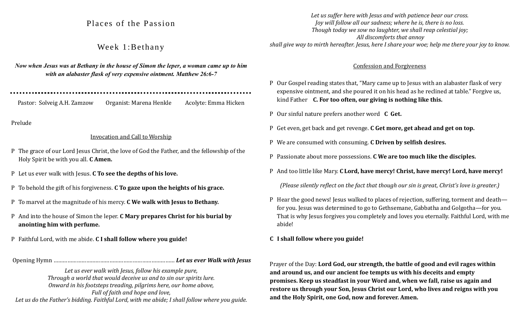# Places of the Passion

# Week 1:Bethany

*Now when Jesus was at Bethany in the house of Simon the leper, a woman came up to him with an alabaster flask of very expensive ointment. Matthew 26:6-7*

Pastor: Solveig A.H. Zamzow Organist: Marena Henkle Acolyte: Emma Hicken

Prelude

#### Invocation and Call to Worship

- P The grace of our Lord Jesus Christ, the love of God the Father, and the fellowship of the Holy Spirit be with you all. **C Amen.**
- P Let us ever walk with Jesus. **C To see the depths of his love.**
- P To behold the gift of his forgiveness. **C To gaze upon the heights of his grace.**
- P To marvel at the magnitude of his mercy. **C We walk with Jesus to Bethany.**
- P And into the house of Simon the leper. **C Mary prepares Christ for his burial by anointing him with perfume.**
- P Faithful Lord, with me abide. **C I shall follow where you guide!**

Opening Hymn …………………………………………………………………… *Let us ever Walk with Jesus*

*Let us ever walk with Jesus, follow his example pure, Through a world that would deceive us and to sin our spirits lure. Onward in his footsteps treading, pilgrims here, our home above, Full of faith and hope and love,* 

*Let us do the Father's bidding. Faithful Lord, with me abide; I shall follow where you guide.*

*Let us suffer here with Jesus and with patience bear our cross. Joy will follow all our sadness; where he is, there is no loss. Though today we sow no laughter, we shall reap celestial joy; All discomforts that annoy shall give way to mirth hereafter. Jesus, here I share your woe; help me there your joy to know.*

#### Confession and Forgiveness

- P Our Gospel reading states that, "Mary came up to Jesus with an alabaster flask of very expensive ointment, and she poured it on his head as he reclined at table." Forgive us, kind Father **C. For too often, our giving is nothing like this.**
- P Our sinful nature prefers another word **C Get.**
- P Get even, get back and get revenge. **C Get more, get ahead and get on top.**
- P We are consumed with consuming. **C Driven by selfish desires.**
- P Passionate about more possessions. **C We are too much like the disciples.**
- P And too little like Mary. **C Lord, have mercy! Christ, have mercy! Lord, have mercy!**

*(Please silently reflect on the fact that though our sin is great, Christ's love is greater.)*

- P Hear the good news! Jesus walked to places of rejection, suffering, torment and death for you. Jesus was determined to go to Gethsemane, Gabbatha and Golgotha—for you. That is why Jesus forgives you completely and loves you eternally. Faithful Lord, with me abide!
- **C I shall follow where you guide!**

Prayer of the Day: **Lord God, our strength, the battle of good and evil rages within and around us, and our ancient foe tempts us with his deceits and empty promises. Keep us steadfast in your Word and, when we fall, raise us again and restore us through your Son, Jesus Christ our Lord, who lives and reigns with you and the Holy Spirit, one God, now and forever. Amen.**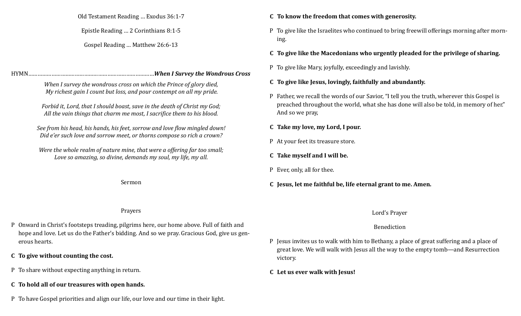Old Testament Reading … Exodus 36:1-7

Epistle Reading … 2 Corinthians 8:1-5

Gospel Reading … Matthew 26:6-13

## HYMN………………………………………………………………………*When I Survey the Wondrous Cross*

*When I survey the wondrous cross on which the Prince of glory died, My richest gain I count but loss, and pour contempt on all my pride.*

*Forbid it, Lord, that I should boast, save in the death of Christ my God; All the vain things that charm me most, I sacrifice them to his blood.*

*See from his head, his hands, his feet, sorrow and love flow mingled down! Did e'er such love and sorrow meet, or thorns compose so rich a crown?*

*Were the whole realm of nature mine, that were a offering far too small; Love so amazing, so divine, demands my soul, my life, my all.*

Sermon

# **C To know the freedom that comes with generosity.**

- P To give like the Israelites who continued to bring freewill offerings morning after morning.
- **C To give like the Macedonians who urgently pleaded for the privilege of sharing.**
- P To give like Mary, joyfully, exceedingly and lavishly.

# **C To give like Jesus, lovingly, faithfully and abundantly.**

- P Father, we recall the words of our Savior, "I tell you the truth, wherever this Gospel is preached throughout the world, what she has done will also be told, in memory of her." And so we pray,
- **C Take my love, my Lord, I pour.**
- P At your feet its treasure store.
- **C Take myself and I will be.**
- P Ever, only, all for thee.
- **C Jesus, let me faithful be, life eternal grant to me. Amen.**

## Lord's Prayer

# Benediction

- P Jesus invites us to walk with him to Bethany, a place of great suffering and a place of great love. We will walk with Jesus all the way to the empty tomb—and Resurrection victory.
- **C Let us ever walk with Jesus!**

## Prayers

- P Onward in Christ's footsteps treading, pilgrims here, our home above. Full of faith and hope and love. Let us do the Father's bidding. And so we pray. Gracious God, give us generous hearts.
- **C To give without counting the cost.**
- P To share without expecting anything in return.
- **C To hold all of our treasures with open hands.**
- P To have Gospel priorities and align our life, our love and our time in their light.